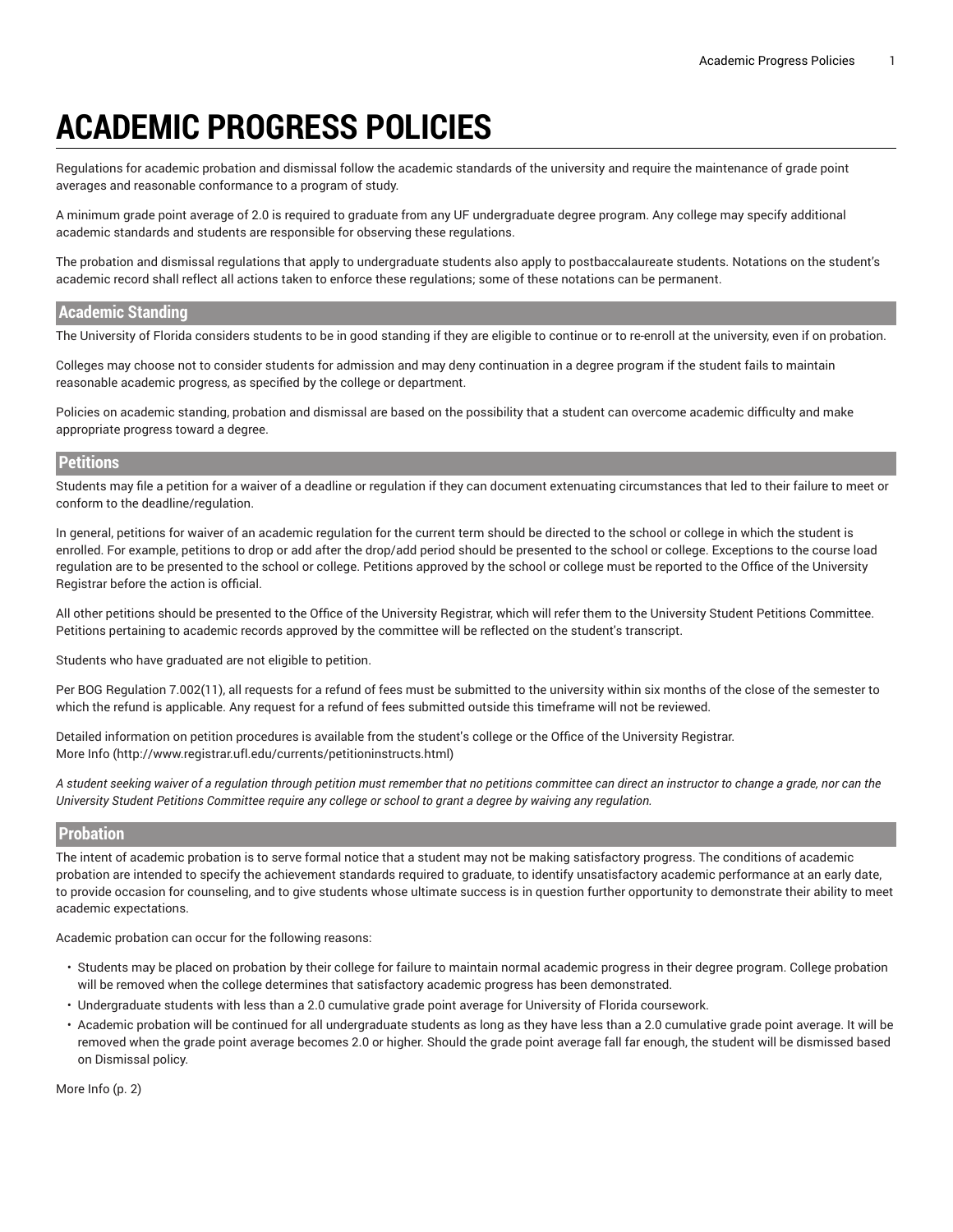# **ACADEMIC PROGRESS POLICIES**

Regulations for academic probation and dismissal follow the academic standards of the university and require the maintenance of grade point averages and reasonable conformance to a program of study.

A minimum grade point average of 2.0 is required to graduate from any UF undergraduate degree program. Any college may specify additional academic standards and students are responsible for observing these regulations.

The probation and dismissal regulations that apply to undergraduate students also apply to postbaccalaureate students. Notations on the student's academic record shall reflect all actions taken to enforce these regulations; some of these notations can be permanent.

#### **Academic Standing**

The University of Florida considers students to be in good standing if they are eligible to continue or to re-enroll at the university, even if on probation.

Colleges may choose not to consider students for admission and may deny continuation in a degree program if the student fails to maintain reasonable academic progress, as specified by the college or department.

Policies on academic standing, probation and dismissal are based on the possibility that a student can overcome academic difficulty and make appropriate progress toward a degree.

#### **Petitions**

Students may file a petition for a waiver of a deadline or regulation if they can document extenuating circumstances that led to their failure to meet or conform to the deadline/regulation.

In general, petitions for waiver of an academic regulation for the current term should be directed to the school or college in which the student is enrolled. For example, petitions to drop or add after the drop/add period should be presented to the school or college. Exceptions to the course load regulation are to be presented to the school or college. Petitions approved by the school or college must be reported to the Office of the University Registrar before the action is official.

All other petitions should be presented to the Office of the University Registrar, which will refer them to the University Student Petitions Committee. Petitions pertaining to academic records approved by the committee will be reflected on the student's transcript.

Students who have graduated are not eligible to petition.

Per BOG Regulation 7.002(11), all requests for a refund of fees must be submitted to the university within six months of the close of the semester to which the refund is applicable. Any request for a refund of fees submitted outside this timeframe will not be reviewed.

Detailed information on petition procedures is available from the student's college or the Office of the University Registrar. [More](http://www.registrar.ufl.edu/currents/petitioninstructs.html) Info [\(http://www.registrar.ufl.edu/currents/petitioninstructs.html](http://www.registrar.ufl.edu/currents/petitioninstructs.html))

A student seeking waiver of a regulation through petition must remember that no petitions committee can direct an instructor to change a grade, nor can the University Student Petitions Committee require any college or school to grant a degree by waiving any regulation.

#### **Probation**

The intent of academic probation is to serve formal notice that a student may not be making satisfactory progress. The conditions of academic probation are intended to specify the achievement standards required to graduate, to identify unsatisfactory academic performance at an early date, to provide occasion for counseling, and to give students whose ultimate success is in question further opportunity to demonstrate their ability to meet academic expectations.

Academic probation can occur for the following reasons:

- Students may be placed on probation by their college for failure to maintain normal academic progress in their degree program. College probation will be removed when the college determines that satisfactory academic progress has been demonstrated.
- Undergraduate students with less than a 2.0 cumulative grade point average for University of Florida coursework.
- Academic probation will be continued for all undergraduate students as long as they have less than a 2.0 cumulative grade point average. It will be removed when the grade point average becomes 2.0 or higher. Should the grade point average fall far enough, the student will be dismissed based on Dismissal policy.

[More](#page-1-0) Info [\(p. 2](#page-1-0))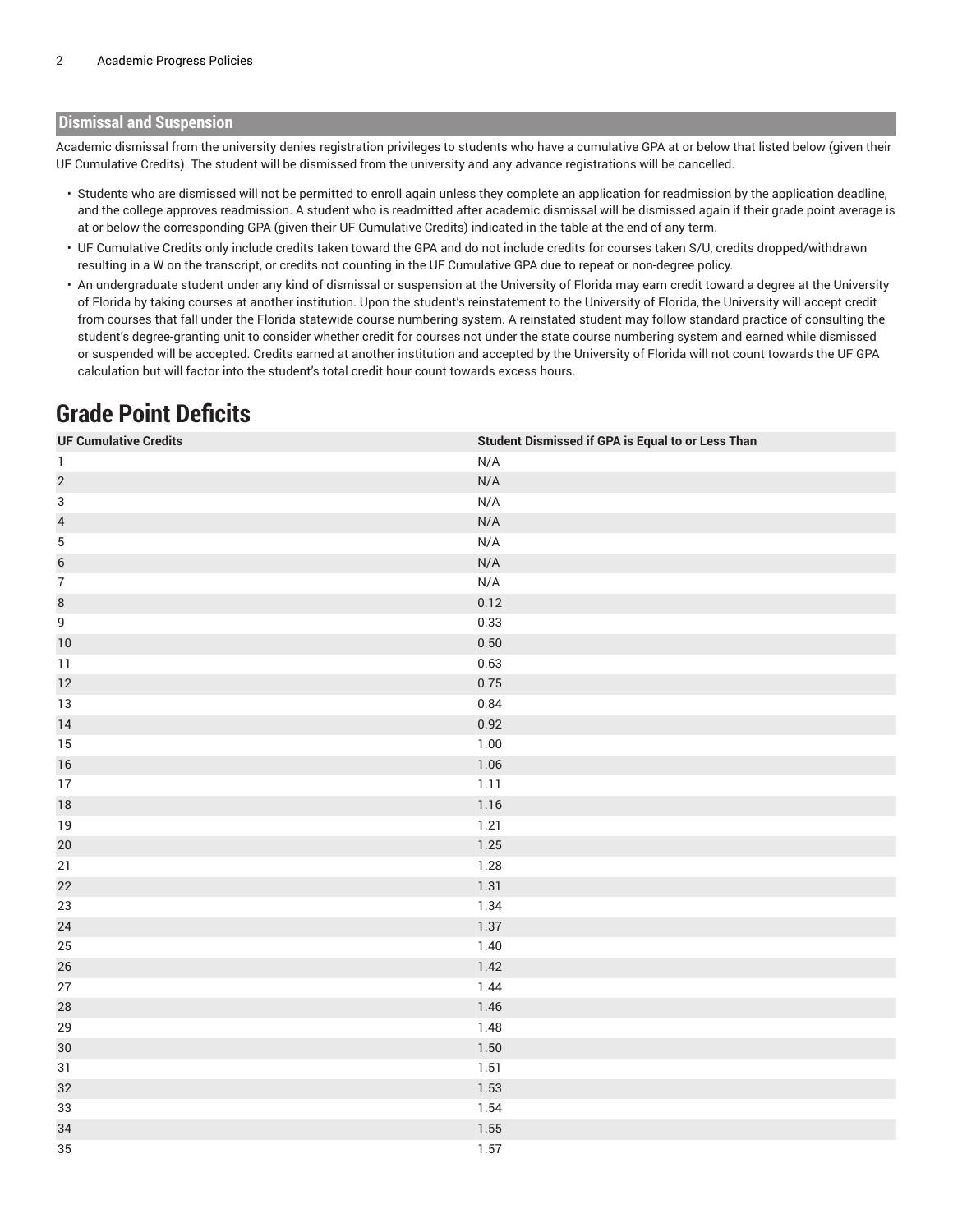#### <span id="page-1-0"></span>**Dismissal and Suspension**

Academic dismissal from the university denies registration privileges to students who have a cumulative GPA at or below that listed below (given their UF Cumulative Credits). The student will be dismissed from the university and any advance registrations will be cancelled.

- Students who are dismissed will not be permitted to enroll again unless they complete an application for readmission by the application deadline, and the college approves readmission. A student who is readmitted after academic dismissal will be dismissed again if their grade point average is at or below the corresponding GPA (given their UF Cumulative Credits) indicated in the table at the end of any term.
- UF Cumulative Credits only include credits taken toward the GPA and do not include credits for courses taken S/U, credits dropped/withdrawn resulting in a W on the transcript, or credits not counting in the UF Cumulative GPA due to repeat or non-degree policy.
- An undergraduate student under any kind of dismissal or suspension at the University of Florida may earn credit toward a degree at the University of Florida by taking courses at another institution. Upon the student's reinstatement to the University of Florida, the University will accept credit from courses that fall under the Florida statewide course numbering system. A reinstated student may follow standard practice of consulting the student's degree-granting unit to consider whether credit for courses not under the state course numbering system and earned while dismissed or suspended will be accepted. Credits earned at another institution and accepted by the University of Florida will not count towards the UF GPA calculation but will factor into the student's total credit hour count towards excess hours.

## **Grade Point Deficits**

| <b>UF Cumulative Credits</b> | <b>Student Dismissed if GPA is Equal to or Less Than</b> |
|------------------------------|----------------------------------------------------------|
| $\mathbf{1}$                 | N/A                                                      |
| $\overline{c}$               | N/A                                                      |
| $\sqrt{3}$                   | N/A                                                      |
| $\overline{a}$               | N/A                                                      |
| $\,$ 5 $\,$                  | N/A                                                      |
| $\overline{6}$               | N/A                                                      |
| $\overline{7}$               | N/A                                                      |
| $\,8\,$                      | 0.12                                                     |
| $\mathsf g$                  | 0.33                                                     |
| $10$                         | $0.50\,$                                                 |
| 11                           | 0.63                                                     |
| 12                           | 0.75                                                     |
| $13\,$                       | 0.84                                                     |
| 14                           | 0.92                                                     |
| $15\,$                       | 1.00                                                     |
| 16                           | $1.06$                                                   |
| $17\,$                       | 1.11                                                     |
| $18\,$                       | $1.16$                                                   |
| $19$                         | 1.21                                                     |
| $20\,$                       | 1.25                                                     |
| 21                           | 1.28                                                     |
| 22                           | 1.31                                                     |
| 23                           | 1.34                                                     |
| 24                           | 1.37                                                     |
| 25                           | 1.40                                                     |
| 26                           | 1.42                                                     |
| 27                           | 1.44                                                     |
| 28                           | 1.46                                                     |
| 29                           | 1.48                                                     |
| $30\,$                       | 1.50                                                     |
| $31\,$                       | 1.51                                                     |
| 32                           | 1.53                                                     |
| 33                           | 1.54                                                     |
| 34                           | $1.55\,$                                                 |
| 35                           | 1.57                                                     |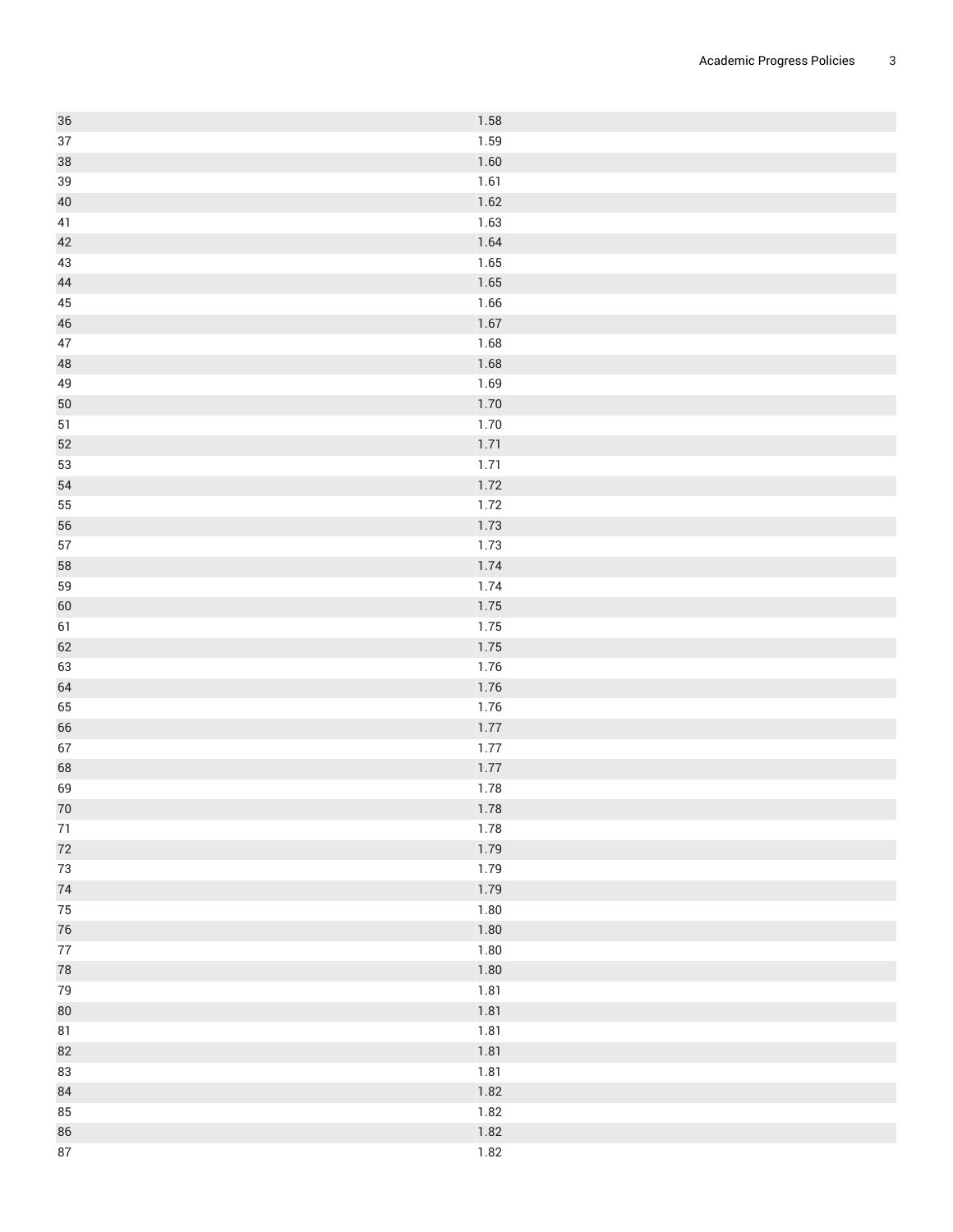| $36\,$     | 1.58         |
|------------|--------------|
| $37\,$     | 1.59         |
| 38         | 1.60         |
| $39\,$     | 1.61         |
| $40\,$     | 1.62         |
| 41         | 1.63         |
| 42         | 1.64         |
| $43\,$     | 1.65         |
| $44\,$     | 1.65         |
| $45\,$     | 1.66         |
| $46\,$     | 1.67         |
| $47\,$     | 1.68         |
| $48\,$     | 1.68         |
| 49         | 1.69         |
| 50         | 1.70         |
| 51         | 1.70         |
| 52         | 1.71         |
| 53         | 1.71         |
| 54         | 1.72         |
| 55         | 1.72         |
| 56         | 1.73         |
| $57\,$     | 1.73         |
| 58         | 1.74         |
| 59         | 1.74         |
| 60         | 1.75         |
| 61         | 1.75         |
| 62         | 1.75         |
| 63         | 1.76         |
| 64         | 1.76         |
| 65         | 1.76         |
| 66         | 1.77         |
| $67\,$     | 1.77         |
| 68         | 1.77         |
| 69         | 1.78         |
| 70         | $1.78\,$     |
| $71\,$     | 1.78         |
| 72         | 1.79         |
| $73\,$     | 1.79         |
| $74$       | 1.79         |
| 75         | 1.80         |
| $76\,$     | 1.80         |
| $77\,$     | 1.80         |
| ${\bf 78}$ | 1.80         |
| 79         | 1.81         |
|            |              |
| 80<br>81   | 1.81<br>1.81 |
|            |              |
| 82         | 1.81         |
| 83         | 1.81         |
| 84         | 1.82         |
| 85         | 1.82         |
| 86         | 1.82         |
| $87\,$     | 1.82         |